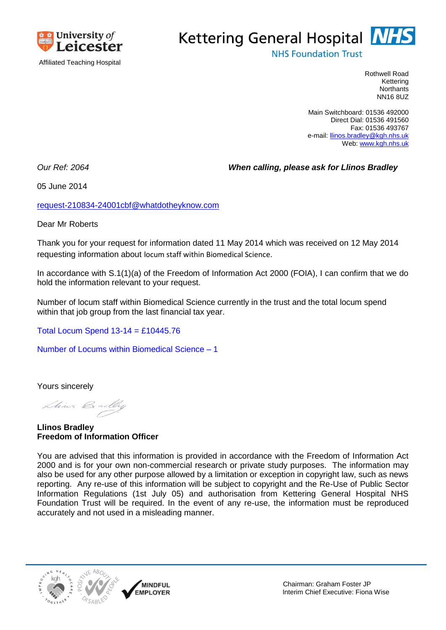

## Kettering General Hospital **NHS**

**NHS Foundation Trust** 

Rothwell Road Kettering **Northants** NN16 8UZ

Main Switchboard: 01536 492000 Direct Dial: 01536 491560 Fax: 01536 493767 e-mail[: llinos.bradley@kgh.nhs.uk](mailto:xxxxxx.xxxxxxx@xxx.xxx.xx) Web: [www.kgh.nhs.uk](http://www.kgh.nhs.uk/)

*Our Ref: 2064 When calling, please ask for Llinos Bradley*

05 June 2014

[request-210834-24001cbf@whatdotheyknow.com](mailto:xxxxxxxxxxxxxxxxxxxxxxx@xxxxxxxxxxxxxx.xxx)

Dear Mr Roberts

Thank you for your request for information dated 11 May 2014 which was received on 12 May 2014 requesting information about locum staff within Biomedical Science.

In accordance with S.1(1)(a) of the Freedom of Information Act 2000 (FOIA), I can confirm that we do hold the information relevant to your request.

Number of locum staff within Biomedical Science currently in the trust and the total locum spend within that job group from the last financial tax year.

Total Locum Spend 13-14 = £10445.76

Number of Locums within Biomedical Science – 1

Yours sincerely

Lhines Bradley

**Llinos Bradley Freedom of Information Officer**

You are advised that this information is provided in accordance with the Freedom of Information Act 2000 and is for your own non-commercial research or private study purposes. The information may also be used for any other purpose allowed by a limitation or exception in copyright law, such as news reporting. Any re-use of this information will be subject to copyright and the Re-Use of Public Sector Information Regulations (1st July 05) and authorisation from Kettering General Hospital NHS Foundation Trust will be required. In the event of any re-use, the information must be reproduced accurately and not used in a misleading manner.